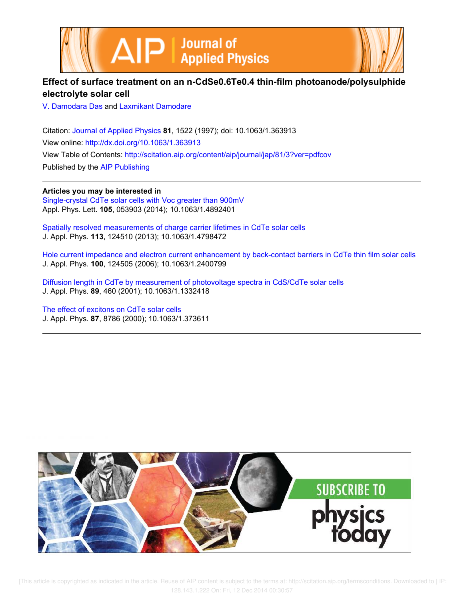



# **Effect of surface treatment on an n-CdSe0.6Te0.4 thin-film photoanode/polysulphide electrolyte solar cell**

V. Damodara Das and Laxmikant Damodare

Citation: Journal of Applied Physics **81**, 1522 (1997); doi: 10.1063/1.363913 View online: http://dx.doi.org/10.1063/1.363913 View Table of Contents: http://scitation.aip.org/content/aip/journal/jap/81/3?ver=pdfcov Published by the AIP Publishing

**Articles you may be interested in** Single-crystal CdTe solar cells with Voc greater than 900mV Appl. Phys. Lett. **105**, 053903 (2014); 10.1063/1.4892401

Spatially resolved measurements of charge carrier lifetimes in CdTe solar cells J. Appl. Phys. **113**, 124510 (2013); 10.1063/1.4798472

Hole current impedance and electron current enhancement by back-contact barriers in CdTe thin film solar cells J. Appl. Phys. **100**, 124505 (2006); 10.1063/1.2400799

Diffusion length in CdTe by measurement of photovoltage spectra in CdS/CdTe solar cells J. Appl. Phys. **89**, 460 (2001); 10.1063/1.1332418

The effect of excitons on CdTe solar cells J. Appl. Phys. **87**, 8786 (2000); 10.1063/1.373611

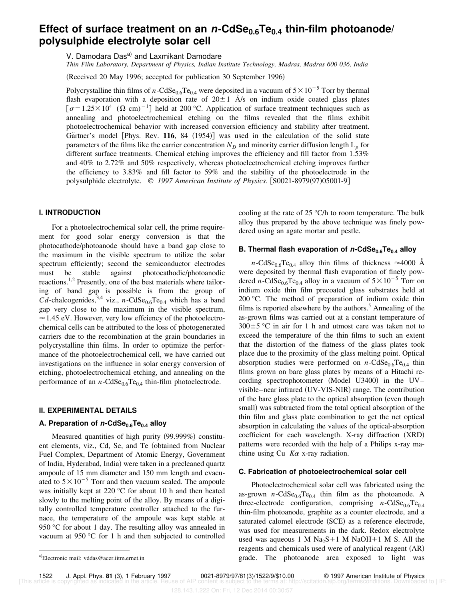# **Effect of surface treatment on an <sup>n</sup>-CdSe0.6Te0.4 thin-film photoanode/ polysulphide electrolyte solar cell**

V. Damodara Das<sup>a)</sup> and Laxmikant Damodare

*Thin Film Laboratory, Department of Physics, Indian Institute Technology, Madras, Madras 600 036, India*

(Received 20 May 1996; accepted for publication 30 September 1996)

Polycrystalline thin films of *n*-CdSe<sub>0.6</sub>Te<sub>0.4</sub> were deposited in a vacuum of  $5 \times 10^{-5}$  Torr by thermal flash evaporation with a deposition rate of  $20 \pm 1$   $\AA$ /s on indium oxide coated glass plates  $\sigma$ =1.25×10<sup>4</sup> ( $\Omega$  cm)<sup>-1</sup>] held at 200 °C. Application of surface treatment techniques such as annealing and photoelectrochemical etching on the films revealed that the films exhibit photoelectrochemical behavior with increased conversion efficiency and stability after treatment. Gärtner's model [Phys. Rev. 116, 84 (1954)] was used in the calculation of the solid state parameters of the films like the carrier concentration  $N_D$  and minority carrier diffusion length  $L_p$  for different surface treatments. Chemical etching improves the efficiency and fill factor from 1.53% and 40% to 2.72% and 50% respectively, whereas photoelectrochemical etching improves further the efficiency to 3.83% and fill factor to 59% and the stability of the photoelectrode in the polysulphide electrolyte. © 1997 American Institute of Physics. [S0021-8979(97)05001-9]

# **I. INTRODUCTION**

For a photoelectrochemical solar cell, the prime requirement for good solar energy conversion is that the photocathode/photoanode should have a band gap close to the maximum in the visible spectrum to utilize the solar spectrum efficiently; second the semiconductor electrodes must be stable against photocathodic/photoanodic reactions.<sup>1,2</sup> Presently, one of the best materials where tailoring of band gap is possible is from the group of  $Cd$ -chalcogenides,<sup>3,4</sup> viz., *n*-CdSe<sub>0.6</sub>Te<sub>0.4</sub> which has a band gap very close to the maximum in the visible spectrum,  $\approx$  1.45 eV. However, very low effciency of the photoelectrochemical cells can be attributed to the loss of photogenerated carriers due to the recombination at the grain boundaries in polycrystalline thin films. In order to optimize the performance of the photoelectrochemical cell, we have carried out investigations on the influence in solar energy conversion of etching, photoelectrochemical etching, and annealing on the performance of an  $n$ -CdSe<sub>0.6</sub>Te<sub>0.4</sub> thin-film photoelectrode.

#### **II. EXPERIMENTAL DETAILS**

# **A. Preparation of <sup>n</sup>-CdSe0.6Te0.4 alloy**

Measured quantities of high purity (99.999%) constituent elements, viz., Cd, Se, and Te (obtained from Nuclear Fuel Complex, Department of Atomic Energy, Government of India, Hyderabad, India) were taken in a precleaned quartz ampoule of 15 mm diameter and 150 mm length and evacuated to  $5\times10^{-5}$  Torr and then vacuum sealed. The ampoule was initially kept at 220 °C for about 10 h and then heated slowly to the melting point of the alloy. By means of a digitally controlled temperature controller attached to the furnace, the temperature of the ampoule was kept stable at 950 °C for about 1 day. The resulting alloy was annealed in vacuum at 950 °C for 1 h and then subjected to controlled cooling at the rate of 25 °C/h to room temperature. The bulk alloy thus prepared by the above technique was finely powdered using an agate mortar and pestle.

## **B. Thermal flash evaporation of <sup>n</sup>-CdSe0.6Te0.4 alloy**

*n*-CdSe<sub>0.6</sub>Te<sub>0.4</sub> alloy thin films of thickness  $\approx$ 4000 Å were deposited by thermal flash evaporation of finely powdered *n*-CdSe<sub>0.6</sub>Te<sub>0.4</sub> alloy in a vacuum of  $5 \times 10^{-5}$  Torr on indium oxide thin film precoated glass substrates held at 200 °C. The method of preparation of indium oxide thin films is reported elsewhere by the authors.<sup>5</sup> Annealing of the as-grown films was carried out at a constant temperature of  $300\pm5$  °C in air for 1 h and utmost care was taken not to exceed the temperature of the thin films to such an extent that the distortion of the flatness of the glass plates took place due to the proximity of the glass melting point. Optical absorption studies were performed on  $n\text{-CdSe}_{0.6}\text{Te}_{0.4}$  thin films grown on bare glass plates by means of a Hitachi recording spectrophotometer  $(Model U3400)$  in the UV– visible–near infrared (UV-VIS-NIR) range. The contribution of the bare glass plate to the optical absorption (even though small) was subtracted from the total optical absorption of the thin film and glass plate combination to get the net optical absorption in calculating the values of the optical-absorption coefficient for each wavelength. X-ray diffraction  $(XRD)$ patterns were recorded with the help of a Philips x-ray machine using Cu  $K\alpha$  x-ray radiation.

## **C. Fabrication of photoelectrochemical solar cell**

Photoelectrochemical solar cell was fabricated using the as-grown  $n\text{-CdSe}_{0.6}Te_{0.4}$  thin film as the photoanode. A three-electrode configuration, comprising  $n\text{-CdSe}_{0.6}\text{Te}_{0.4}$ thin-film photoanode, graphite as a counter electrode, and a saturated calomel electrode (SCE) as a reference electrode, was used for measurements in the dark. Redox electrolyte used was aqueous 1 M  $Na<sub>2</sub>S+1$  M NaOH+1 M S. All the reagents and chemicals used were of analytical reagent (AR) a)Electronic mail: vddas@acer.iitm.ernet.in **and a series area exposed to light was** a series of the photoanode area exposed to light was

1522 J. Appl. Phys. **81** (3), 1 February 1997 0021-8979/97/81(3)/1522/9/\$10.00 © 1997 American Institute of Physics

[This article is copyrighted as indicated in the article. Reuse of AIP content is subject to the terms at: http://scitation.aip.org/termsconditions. Downloaded to ] IP: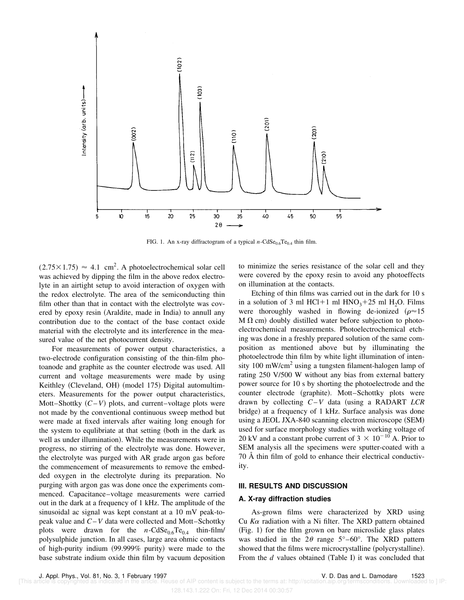

FIG. 1. An x-ray diffractogram of a typical  $n\text{-CdSe}_{0.6}\text{Te}_{0.4}$  thin film.

 $(2.75 \times 1.75) \approx 4.1$  cm<sup>2</sup>. A photoelectrochemical solar cell was achieved by dipping the film in the above redox electrolyte in an airtight setup to avoid interaction of oxygen with the redox electrolyte. The area of the semiconducting thin film other than that in contact with the electrolyte was covered by epoxy resin (Araldite, made in India) to annull any contribution due to the contact of the base contact oxide material with the electrolyte and its interference in the measured value of the net photocurrent density.

For measurements of power output characteristics, a two-electrode configuration consisting of the thin-film photoanode and graphite as the counter electrode was used. All current and voltage measurements were made by using Keithley (Cleveland, OH) (model 175) Digital automultimeters. Measurements for the power output characteristics, Mott–Shottky  $(C-V)$  plots, and current–voltage plots were not made by the conventional continuous sweep method but were made at fixed intervals after waiting long enough for the system to equlibriate at that setting (both in the dark as well as under illumination). While the measurements were in progress, no stirring of the electrolyte was done. However, the electrolyte was purged with AR grade argon gas before the commencement of measurements to remove the embedded oxygen in the electrolyte during its preparation. No purging with argon gas was done once the experiments commenced. Capacitance–voltage measurements were carried out in the dark at a frequency of 1 kHz. The amplitude of the sinusoidal ac signal was kept constant at a 10 mV peak-topeak value and *C*–*V* data were collected and Mott–Schottky plots were drawn for the  $n\text{-CdSe}_{0.6}\text{Te}_{0.4}$  thin-film/ polysulphide junction. In all cases, large area ohmic contacts of high-purity indium  $(99.999\%$  purity) were made to the base substrate indium oxide thin film by vacuum deposition to minimize the series resistance of the solar cell and they were covered by the epoxy resin to avoid any photoeffects on illumination at the contacts.

Etching of thin films was carried out in the dark for 10 s in a solution of 3 ml HCl+1 ml  $HNO<sub>3</sub>+25$  ml H<sub>2</sub>O. Films were thoroughly washed in flowing de-ionized ( $\rho \approx 15$ )  $M \Omega$  cm) doubly distilled water before subjection to photoelectrochemical measurements. Photoelectrochemical etching was done in a freshly prepared solution of the same composition as mentioned above but by illuminating the photoelectrode thin film by white light illumination of intensity  $100 \text{ mW/cm}^2$  using a tungsten filament-halogen lamp of rating 250 V/500 W without any bias from external battery power source for 10 s by shorting the photoelectrode and the counter electrode (graphite). Mott-Schottky plots were drawn by collecting  $C-V$  data (using a RADART *LCR* bridge) at a frequency of 1 kHz. Surface analysis was done using a JEOL JXA-840 scanning electron microscope (SEM) used for surface morphology studies with working voltage of 20 kV and a constant probe current of  $3 \times 10^{-10}$  A. Prior to SEM analysis all the specimens were sputter-coated with a 70 Å thin film of gold to enhance their electrical conductivity.

#### **III. RESULTS AND DISCUSSION**

## **A. X-ray diffraction studies**

As-grown films were characterized by XRD using Cu  $K\alpha$  radiation with a Ni filter. The XRD pattern obtained  $(Fig. 1)$  for the film grown on bare microslide glass plates was studied in the  $2\theta$  range  $5^{\circ}$ –60°. The XRD pattern showed that the films were microcrystalline (polycrystalline). From the *d* values obtained (Table I) it was concluded that

128.143.1.222 On: Fri, 12 Dec 2014 00:30:57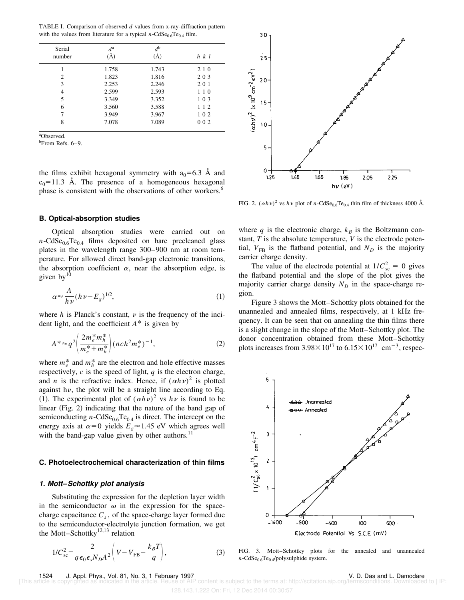TABLE I. Comparison of observed *d* values from x-ray-diffraction pattern with the values from literature for a typical  $n\text{-CdSe}_{0.6}\text{Te}_{0.4}$  film.

| Serial<br>number | $d^{\rm a}$<br>$\rm (\AA)$ | $d^{\rm b}$<br>(A) | $h \, k \, l$ |
|------------------|----------------------------|--------------------|---------------|
|                  | 1.758                      | 1.743              | 2 1 0         |
| 2                | 1.823                      | 1.816              | 203           |
| 3                | 2.253                      | 2.246              | 201           |
| 4                | 2.599                      | 2.593              | 110           |
| 5                | 3.349                      | 3.352              | 103           |
| 6                | 3.560                      | 3.588              | 112           |
|                  | 3.949                      | 3.967              | 102           |
| 8                | 7.078                      | 7.089              | 0 0 2         |

<sup>a</sup>Observed.

<sup>b</sup>From Refs. 6–9.

the films exhibit hexagonal symmetry with  $a_0=6.3$  A and  $c_0$ =11.3 Å. The presence of a homogeneous hexagonal phase is consistent with the observations of other workers.<sup>6</sup>

## **B. Optical-absorption studies**

Optical absorption studies were carried out on  $n\text{-CdSe}_{0.6}Te_{0.4}$  films deposited on bare precleaned glass plates in the wavelength range 300–900 nm at room temperature. For allowed direct band-gap electronic transitions, the absorption coefficient  $\alpha$ , near the absorption edge, is given by $10$ 

$$
\alpha \approx \frac{A}{h\nu} (h\nu - E_g)^{1/2},\tag{1}
$$

where  $h$  is Planck's constant,  $\nu$  is the frequency of the incident light, and the coefficient *A*\* is given by

$$
A^* \approx q^2 \left( \frac{2m_e^* m_h^*}{m_e^* + m_h^*} \right) (n c h^2 m_e^*)^{-1},\tag{2}
$$

where  $m_e^*$  and  $m_h^*$  are the electron and hole effective masses respectively,  $c$  is the speed of light,  $q$  is the electron charge, and *n* is the refractive index. Hence, if  $(ahv)^2$  is plotted against h $\nu$ , the plot will be a straight line according to Eq. (1). The experimental plot of  $(ahv)^2$  vs  $h v$  is found to be linear  $(Fig. 2)$  indicating that the nature of the band gap of semiconducting  $n\text{-CdSe}_{0.6}\text{Te}_{0.4}$  is direct. The intercept on the energy axis at  $\alpha=0$  yields  $E_g \approx 1.45$  eV which agrees well with the band-gap value given by other authors. $^{11}$ 

#### **C. Photoelectrochemical characterization of thin films**

#### **1. Mott–Schottky plot analysis**

Substituting the expression for the depletion layer width in the semiconductor  $\omega$  in the expression for the spacecharge capacitance *C<sup>s</sup>* , of the space-charge layer formed due to the semiconductor-electrolyte junction formation, we get the Mott–Schottky $12,13$  relation

$$
1/C_{\rm sc}^2 = \frac{2}{q\epsilon_0 \epsilon_s N_D A^2} \left(V - V_{\rm FB} - \frac{k_B T}{q}\right),\tag{3}
$$



FIG. 2.  $(\alpha h \nu)^2$  vs  $h \nu$  plot of *n*-CdSe<sub>0.6</sub>Te<sub>0.4</sub> thin film of thickness 4000 Å.

where  $q$  is the electronic charge,  $k_B$  is the Boltzmann constant, *T* is the absolute temperature, *V* is the electrode potential,  $V_{FB}$  is the flatband potential, and  $N_D$  is the majority carrier charge density.

The value of the electrode potential at  $1/C_{\rm sc}^2 = 0$  gives the flatband potential and the slope of the plot gives the majority carrier charge density  $N_D$  in the space-charge region.

Figure 3 shows the Mott–Schottky plots obtained for the unannealed and annealed films, respectively, at 1 kHz frequency. It can be seen that on annealing the thin films there is a slight change in the slope of the Mott–Schottky plot. The donor concentration obtained from these Mott–Schottky plots increases from  $3.98 \times 10^{17}$  to  $6.15 \times 10^{17}$  cm<sup>-3</sup>, respec-



FIG. 3. Mott–Schottky plots for the annealed and unannealed  $n\text{-CdSe}_{0.6}Te_{0.4}$ /polysulphide system.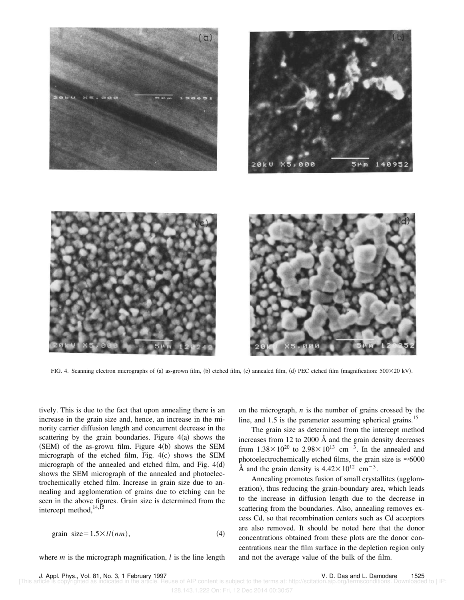

FIG. 4. Scanning electron micrographs of (a) as-grown film, (b) etched film, (c) annealed film, (d) PEC etched film (magnification: 500×20 kV).

tively. This is due to the fact that upon annealing there is an increase in the grain size and, hence, an increase in the minority carrier diffusion length and concurrent decrease in the scattering by the grain boundaries. Figure  $4(a)$  shows the  $(SEM)$  of the as-grown film. Figure 4(b) shows the SEM micrograph of the etched film, Fig.  $4(c)$  shows the SEM micrograph of the annealed and etched film, and Fig.  $4(d)$ shows the SEM micrograph of the annealed and photoelectrochemically etched film. Increase in grain size due to annealing and agglomeration of grains due to etching can be seen in the above figures. Grain size is determined from the intercept method,  $14,15$ 

grain size=
$$
1.5 \times l/(nm)
$$
, (4)

where *m* is the micrograph magnification, *l* is the line length

on the micrograph, *n* is the number of grains crossed by the line, and  $1.5$  is the parameter assuming spherical grains.<sup>15</sup>

The grain size as determined from the intercept method increases from 12 to 2000 Å and the grain density decreases from  $1.38 \times 10^{20}$  to  $2.98 \times 10^{13}$  cm<sup>-3</sup>. In the annealed and photoelectrochemically etched films, the grain size is  $\approx 6000$ Å and the grain density is  $4.42 \times 10^{12}$  cm<sup>-3</sup>.

Annealing promotes fusion of small crystallites (agglomeration), thus reducing the grain-boundary area, which leads to the increase in diffusion length due to the decrease in scattering from the boundaries. Also, annealing removes excess Cd, so that recombination centers such as Cd acceptors are also removed. It should be noted here that the donor concentrations obtained from these plots are the donor concentrations near the film surface in the depletion region only and not the average value of the bulk of the film.

e of AIP content is subject to the terms at: http://scitation.aip.org/termsconditions. Downloaded to ] IP:

128.143.1.222 On: Fri, 12 Dec 2014 00:30:57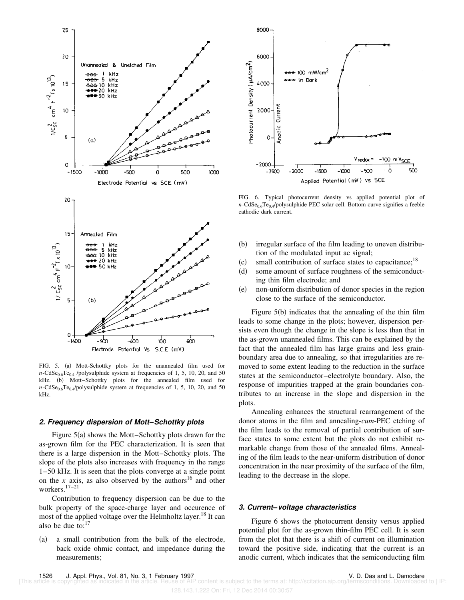![](_page_5_Figure_0.jpeg)

FIG. 5. (a) Mott-Schottky plots for the unannealed film used for  $n\text{-CdSe}_{0.6}\text{Te}_{0.4}$  /polysulphide system at frequencies of 1, 5, 10, 20, and 50 kHz. (b) Mott-Schottky plots for the annealed film used for  $n\text{-CdSe}_{0.6}Te_{0.4}/\text{polysulphide system}$  at frequencies of 1, 5, 10, 20, and 50 kHz.

#### **2. Frequency dispersion of Mott–Schottky plots**

Figure  $5(a)$  shows the Mott–Schottky plots drawn for the as-grown film for the PEC characterization. It is seen that there is a large dispersion in the Mott–Schottky plots. The slope of the plots also increases with frequency in the range 1–50 kHz. It is seen that the plots converge at a single point on the *x* axis, as also observed by the authors<sup>16</sup> and other workers.17–21

Contribution to frequency dispersion can be due to the bulk property of the space-charge layer and occurence of most of the applied voltage over the Helmholtz layer.<sup>18</sup> It can also be due to: $17$ 

(a) a small contribution from the bulk of the electrode, back oxide ohmic contact, and impedance during the measurements;

![](_page_5_Figure_6.jpeg)

FIG. 6. Typical photocurrent density vs applied potential plot of  $n\text{-CdSe}_{0.6}Te_{0.4}/\text{polysulphide PEC solar cell. Bottom curve signifies a feeble}$ cathodic dark current.

- $~$  (b) irregular surface of the film leading to uneven distribution of the modulated input ac signal;
- $~(c)$  small contribution of surface states to capacitance;<sup>18</sup>
- (d) some amount of surface roughness of the semiconducting thin film electrode; and
- (e) non-uniform distribution of donor species in the region close to the surface of the semiconductor.

Figure  $5(b)$  indicates that the annealing of the thin film leads to some change in the plots; however, dispersion persists even though the change in the slope is less than that in the as-grown unannealed films. This can be explained by the fact that the annealed film has large grains and less grainboundary area due to annealing, so that irregularities are removed to some extent leading to the reduction in the surface states at the semiconductor–electrolyte boundary. Also, the response of impurities trapped at the grain boundaries contributes to an increase in the slope and dispersion in the plots.

Annealing enhances the structural rearrangement of the donor atoms in the film and annealing-*cum*-PEC etching of the film leads to the removal of partial contribution of surface states to some extent but the plots do not exhibit remarkable change from those of the annealed films. Annealing of the film leads to the near-uniform distribution of donor concentration in the near proximity of the surface of the film, leading to the decrease in the slope.

## **3. Current–voltage characteristics**

Figure 6 shows the photocurrent density versus applied potential plot for the as-grown thin-film PEC cell. It is seen from the plot that there is a shift of current on illumination toward the positive side, indicating that the current is an anodic current, which indicates that the semiconducting film

128.143.1.222 On: Fri, 12 Dec 2014 00:30:57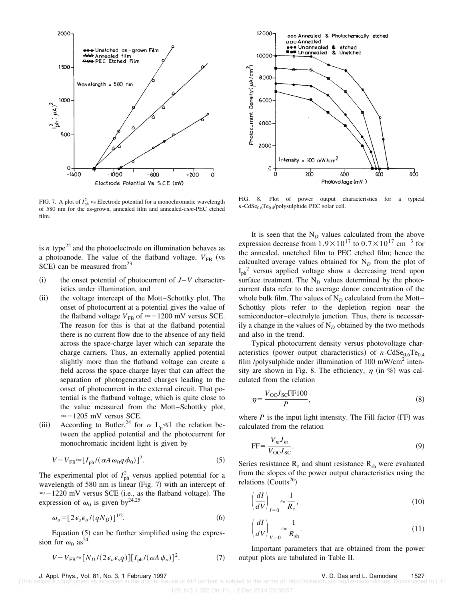![](_page_6_Figure_0.jpeg)

FIG. 7. A plot of  $I_{ph}^2$  vs Electrode potential for a monochromatic wavelength of 580 nm for the as-grown, annealed film and annealed-*cum*-PEC etched film.

is *n* type<sup>22</sup> and the photoelectrode on illumination behaves as a photoanode. The value of the flatband voltage,  $V_{FB}$  (vs  $SCE$ ) can be measured from<sup>23</sup>

- $(i)$  the onset potential of photocurrent of  $J-V$  characteristics under illumination, and
- (ii) the voltage intercept of the Mott–Schottky plot. The onset of photocurrent at a potential gives the value of the flatband voltage  $V_{FB}$  of  $\approx -1200$  mV versus SCE. The reason for this is that at the flatband potential there is no current flow due to the absence of any field across the space-charge layer which can separate the charge carriers. Thus, an externally applied potential slightly more than the flatband voltage can create a field across the space-charge layer that can affect the separation of photogenerated charges leading to the onset of photocurrent in the external circuit. That potential is the flatband voltage, which is quite close to the value measured from the Mott–Schottky plot,  $\approx$  -1205 mV versus SCE.
- (iii) According to Butler,<sup>24</sup> for  $\alpha$  L<sub>p</sub> <1 the relation between the applied potential and the photocurrent for monochromatic incident light is given by

$$
V - V_{\text{FB}} \approx [I_{\text{ph}}/(\alpha A \omega_0 q \phi_0)]^2. \tag{5}
$$

The experimental plot of  $I_{ph}^2$  versus applied potential for a wavelength of  $580$  nm is linear (Fig. 7) with an intercept of  $\approx$  -1220 mV versus SCE (i.e., as the flatband voltage). The expression of  $\omega_0$  is given by<sup>24,25</sup>

$$
\omega_o = [2\epsilon_s \epsilon_o / (qN_D)]^{1/2}.
$$
\n(6)

Equation  $(5)$  can be further simplified using the expression for  $\omega_0$  as<sup>24</sup>

$$
V - V_{\rm FB} \approx [N_D / (2\epsilon_o \epsilon_s q)][I_{\rm ph} / (\alpha A \phi_o)]^2. \tag{7}
$$

![](_page_6_Figure_11.jpeg)

FIG. 8. Plot of power output characteristics for a typical  $n\text{-CdSe}_{0.6}Te_{0.4}$ /polysulphide PEC solar cell.

It is seen that the  $N_D$  values calculated from the above expression decrease from  $1.9 \times 10^{17}$  to  $0.7 \times 10^{17}$  cm<sup>-3</sup> for the annealed, unetched film to PEC etched film; hence the calcualted average values obtained for  $N<sub>D</sub>$  from the plot of  $I_{ph}$ <sup>2</sup> versus applied voltage show a decreasing trend upon surface treatment. The  $N_D$  values determined by the photocurrent data refer to the average donor concentration of the whole bulk film. The values of  $N<sub>D</sub>$  calculated from the Mott– Schottky plots refer to the depletion region near the semiconductor–electrolyte junction. Thus, there is necessarily a change in the values of  $N<sub>D</sub>$  obtained by the two methods and also in the trend.

Typical photocurrent density versus photovoltage characteristics (power output characteristics) of  $n$ -CdSe<sub>0.6</sub>Te<sub>0.4</sub> film /polysulphide under illumination of 100 mW/cm<sup>2</sup> intensity are shown in Fig. 8. The efficiency,  $\eta$  (in %) was calculated from the relation

$$
\eta = \frac{V_{\text{OC}} J_{\text{SC}} \text{FF100}}{P},\tag{8}
$$

where  $P$  is the input light intensity. The Fill factor  $(FF)$  was calculated from the relation

$$
FF = \frac{V_m J_m}{V_{OC} J_{SC}}.\tag{9}
$$

Series resistance  $R_s$  and shunt resistance  $R_{sh}$  were evaluated from the slopes of the power output characteristics using the relations  $(Coutts^{26})$ 

$$
\left(\frac{dI}{dV}\right)_{I=0} \approx \frac{1}{R_s},\tag{10}
$$

$$
\left(\frac{dI}{dV}\right)_{V=0} \approx \frac{1}{R_{\rm sh}}.\tag{11}
$$

Important parameters that are obtained from the power output plots are tabulated in Table II.

J. Appl. Phys., Vol. 81, No. 3, 1 February 1997 V. D. Das and L. Damodare 1527

of AIP content is subject to the terms at: http://scitation.aip.org/termsconditions. Downloaded to [IP:

<sup>128.143.1.222</sup> On: Fri, 12 Dec 2014 00:30:57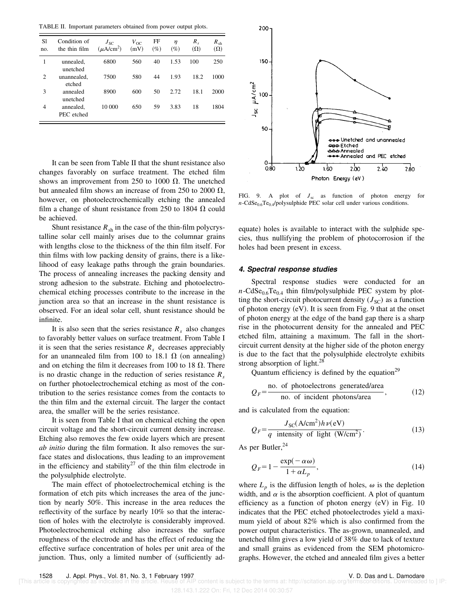TABLE II. Important parameters obtained from power output plots.

| S1<br>no.      | Condition of<br>the thin film | $J_{SC}$<br>$(\mu A/cm^2)$ | $V_{OC}$<br>(mV) | FF<br>$(\%)$ | η<br>$(\%)$ | $R_{s}$<br>$(\Omega)$ | $R_{\rm sh}$<br>$(\Omega)$ |
|----------------|-------------------------------|----------------------------|------------------|--------------|-------------|-----------------------|----------------------------|
| 1              | unnealed,<br>unetched         | 6800                       | 560              | 40           | 1.53        | 100                   | 250                        |
| $\overline{2}$ | unannealed,<br>etched         | 7500                       | 580              | 44           | 1.93        | 18.2                  | 1000                       |
| 3              | annealed<br>unetched          | 8900                       | 600              | 50           | 2.72        | 18.1                  | 2000                       |
| 4              | annealed,<br>PEC etched       | 10 000                     | 650              | 59           | 3.83        | 18                    | 1804                       |

It can be seen from Table II that the shunt resistance also changes favorably on surface treatment. The etched film shows an improvement from 250 to 1000  $\Omega$ . The unetched but annealed film shows an increase of from 250 to 2000  $\Omega$ , however, on photoelectrochemically etching the annealed film a change of shunt resistance from 250 to 1804  $\Omega$  could be achieved.

Shunt resistance  $R_{sh}$  in the case of the thin-film polycrystalline solar cell mainly arises due to the columnar grains with lengths close to the thickness of the thin film itself. For thin films with low packing density of grains, there is a likelihood of easy leakage paths through the grain boundaries. The process of annealing increases the packing density and strong adhesion to the substrate. Etching and photoelectrochemical etching processes contribute to the increase in the junction area so that an increase in the shunt resistance is observed. For an ideal solar cell, shunt resistance should be infinite.

It is also seen that the series resistance  $R<sub>s</sub>$  also changes to favorably better values on surface treatment. From Table I it is seen that the series resistance  $R_s$  decreases appreciably for an unannealed film from 100 to 18.1  $\Omega$  (on annealing) and on etching the film it decreases from 100 to 18  $\Omega$ . There is no drastic change in the reduction of series resistance *R<sup>s</sup>* on further photoelectrochemical etching as most of the contribution to the series resistance comes from the contacts to the thin film and the external circuit. The larger the contact area, the smaller will be the series resistance.

It is seen from Table I that on chemical etching the open circuit voltage and the short-circuit current density increase. Etching also removes the few oxide layers which are present *ab initio* during the film formation. It also removes the surface states and dislocations, thus leading to an improvement in the efficiency and stability<sup>27</sup> of the thin film electrode in the polysulphide electrolyte.

The main effect of photoelectrochemical etching is the formation of etch pits which increases the area of the junction by nearly 50%. This increase in the area reduces the reflectivity of the surface by nearly 10% so that the interaction of holes with the electrolyte is considerably improved. Photoelectrochemical etching also increases the surface roughness of the electrode and has the effect of reducing the effective surface concentration of holes per unit area of the junction. Thus, only a limited number of (sufficiently ad-

![](_page_7_Figure_7.jpeg)

FIG. 9. A plot of  $J_{\rm sc}$  as function of photon energy for *n*-CdSe<sub>0.6</sub>Te<sub>0.4</sub>/polysulphide PEC solar cell under various conditions.

equate) holes is available to interact with the sulphide species, thus nullifying the problem of photocorrosion if the holes had been present in excess.

#### **4. Spectral response studies**

Spectral response studies were conducted for an  $n\text{-CdSe}_{0.6}Te_{0.4}$  thin film/polysulphide PEC system by plotting the short-circuit photocurrent density  $(J_{\rm SC})$  as a function of photon energy  $(eV)$ . It is seen from Fig. 9 that at the onset of photon energy at the edge of the band gap there is a sharp rise in the photocurrent density for the annealed and PEC etched film, attaining a maximum. The fall in the shortcircuit current density at the higher side of the photon energy is due to the fact that the polysulphide electrolyte exhibits strong absorption of light.<sup>28</sup>

Quantum efficiency is defined by the equation<sup>29</sup>

$$
Q_F = \frac{\text{no. of photoelectrons generated/area}}{\text{no. of incident photons/area}},
$$
 (12)

and is calculated from the equation:

$$
Q_F = \frac{J_{\rm SC}(\text{A/cm}^2)h\nu(\text{eV})}{q \text{ intensity of light (W/cm}^2)}.
$$
 (13)

As per Butler,  $24$ 

$$
Q_F = 1 - \frac{\exp(-\alpha \omega)}{1 + \alpha L_p},\tag{14}
$$

where  $L_p$  is the diffusion length of holes,  $\omega$  is the depletion width, and  $\alpha$  is the absorption coefficient. A plot of quantum efficiency as a function of photon energy  $(eV)$  in Fig. 10 indicates that the PEC etched photoelectrodes yield a maximum yield of about 82% which is also confirmed from the power output characteristics. The as-grown, unannealed, and unetched film gives a low yield of 38% due to lack of texture and small grains as evidenced from the SEM photomicrographs. However, the etched and annealed film gives a better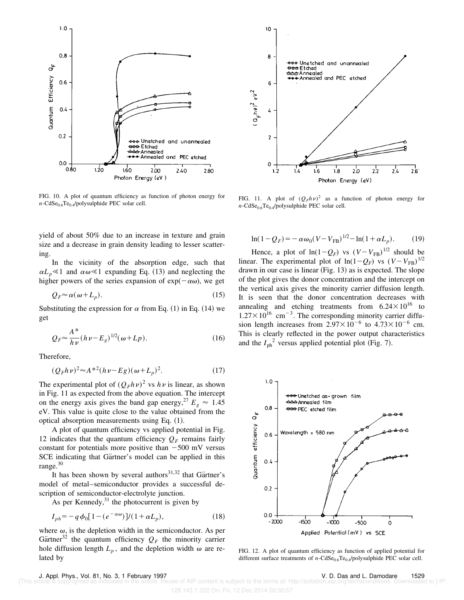![](_page_8_Figure_0.jpeg)

FIG. 10. A plot of quantum efficiency as function of photon energy for  $n\text{-CdSe}_{0.6}Te_{0.4}$ /polysulphide PEC solar cell.

yield of about 50% due to an increase in texture and grain size and a decrease in grain density leading to lesser scattering.

In the vicinity of the absorption edge, such that  $\alpha L_p \leq 1$  and  $\alpha \omega \leq 1$  expanding Eq. (13) and neglecting the higher powers of the series expansion of  $exp(-\alpha\omega)$ , we get

$$
Q_F \approx \alpha(\omega + L_p). \tag{15}
$$

Substituting the expression for  $\alpha$  from Eq. (1) in Eq. (14) we get

$$
Q_F \approx \frac{A^*}{h\nu} (h\nu - E_g)^{1/2} (\omega + Lp).
$$
 (16)

Therefore,

$$
(Q_F h \nu)^2 \approx A^{*2} (h \nu - Eg)(\omega + L_p)^2. \tag{17}
$$

The experimental plot of  $(Q_F h \nu)^2$  vs  $h \nu$  is linear, as shown in Fig. 11 as expected from the above equation. The intercept on the energy axis gives the band gap energy, <sup>27</sup>  $E_g \approx 1.45$ eV. This value is quite close to the value obtained from the optical absorption measurements using Eq.  $(1)$ .

A plot of quantum efficiency vs applied potential in Fig. 12 indicates that the quantum efficiency  $Q_F$  remains fairly constant for potentials more positive than  $-500$  mV versus SCE indicating that Gärtner's model can be applied in this range.<sup>30</sup>

It has been shown by several authors $31,32$  that Gärtner's model of metal–semiconductor provides a successful description of semiconductor-electrolyte junction.

As per Kennedy,  $31$  the photocurrent is given by

$$
I_{ph} = -q \phi_0 [1 - (e^{-\alpha \omega})] / (1 + \alpha L_p),
$$
\n(18)

where  $\omega$ , is the depletion width in the semiconductor. As per Gärtner<sup>32</sup> the quantum efficiency  $Q_F$  the minority carrier hole diffusion length  $L_p$ , and the depletion width  $\omega$  are related by

![](_page_8_Figure_15.jpeg)

FIG. 11. A plot of  $(Q_F h \nu)^2$  as a function of photon energy for  $n\text{-CdSe}_{0.6}Te_{0.4}$ /polysulphide PEC solar cell.

$$
\ln(1 - Q_F) = -\alpha \omega_0 (V - V_{FB})^{1/2} - \ln(1 + \alpha L_p). \tag{19}
$$

Hence, a plot of  $ln(1-Q_F)$  vs  $(V-V_{FB})^{1/2}$  should be linear. The experimental plot of  $ln(1-Q_F)$  vs  $(V-V_{FB})^{1/2}$ drawn in our case is linear  $(Fig. 13)$  as is expected. The slope of the plot gives the donor concentration and the intercept on the vertical axis gives the minority carrier diffusion length. It is seen that the donor concentration decreases with annealing and etching treatments from  $6.24 \times 10^{16}$  to  $1.27 \times 10^{16}$  cm<sup>-3</sup>. The corresponding minority carrier diffusion length increases from  $2.97 \times 10^{-6}$  to  $4.73 \times 10^{-6}$  cm. This is clearly reflected in the power output characteristics and the  $I_{ph}^2$  versus applied potential plot (Fig. 7).

![](_page_8_Figure_19.jpeg)

FIG. 12. A plot of quantum efficiency as function of applied potential for different surface treatments of *n*-CdSe<sub>0.6</sub>Te<sub>0.4</sub>/polysulphide PEC solar cell.